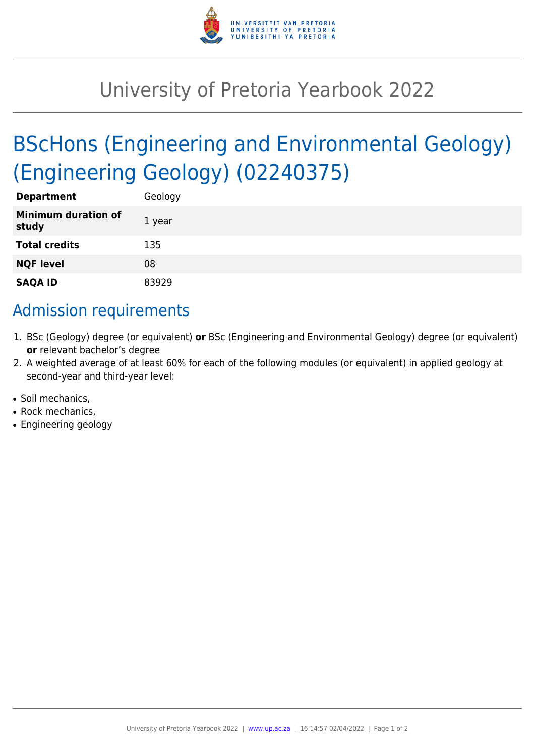

## University of Pretoria Yearbook 2022

# BScHons (Engineering and Environmental Geology) (Engineering Geology) (02240375)

| <b>Department</b>                   | Geology |
|-------------------------------------|---------|
| <b>Minimum duration of</b><br>study | 1 year  |
| <b>Total credits</b>                | 135     |
| <b>NQF level</b>                    | 08      |
| <b>SAQA ID</b>                      | 83929   |

## Admission requirements

- 1. BSc (Geology) degree (or equivalent) **or** BSc (Engineering and Environmental Geology) degree (or equivalent) **or** relevant bachelor's degree
- 2. A weighted average of at least 60% for each of the following modules (or equivalent) in applied geology at second-year and third-year level:
- Soil mechanics.
- Rock mechanics.
- Engineering geology